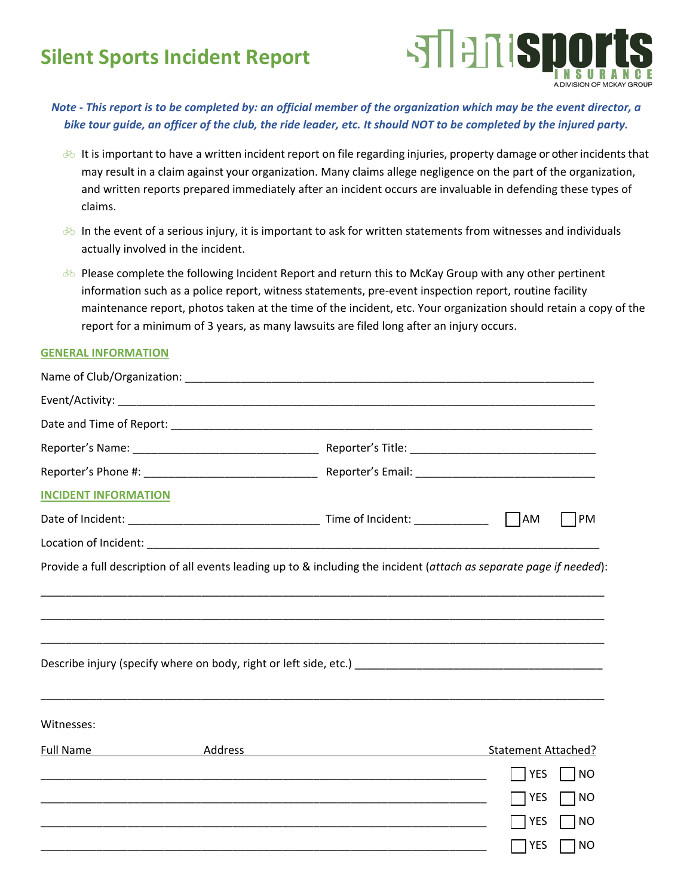## **Silent Sports Incident Report**



*Note ‐ This report is to be completed by: an official member of the organization which may be the event director, a bike tour guide, an officer of the club, the ride leader, etc. It should NOT to be completed by the injured party.* 

- **EXECT It is important to have a written incident report on file regarding injuries, property damage or other incidents that** may result in a claim against your organization. Many claims allege negligence on the part of the organization, and written reports prepared immediately after an incident occurs are invaluable in defending these types of claims.
- $\&$  In the event of a serious injury, it is important to ask for written statements from witnesses and individuals actually involved in the incident.
- $\&$  Please complete the following Incident Report and return this to McKay Group with any other pertinent information such as a police report, witness statements, pre‐event inspection report, routine facility maintenance report, photos taken at the time of the incident, etc. Your organization should retain a copy of the report for a minimum of 3 years, as many lawsuits are filed long after an injury occurs.

## **GENERAL INFORMATION**

| <b>INCIDENT INFORMATION</b> |                                                             |                                     |
|-----------------------------|-------------------------------------------------------------|-------------------------------------|
|                             |                                                             | <b>PM</b>                           |
|                             |                                                             |                                     |
|                             |                                                             |                                     |
| Witnesses:                  |                                                             |                                     |
| <b>Full Name</b>            |                                                             | Statement Attached?                 |
|                             | <u> 1989 - Johann Stoff, amerikansk politiker (d. 1989)</u> | <b>YES</b><br> NO                   |
|                             |                                                             | <b>YES</b><br>] NO                  |
|                             |                                                             | <b>YES</b><br><b>NO</b>             |
|                             |                                                             | TNO<br>$\overline{\phantom{a}}$ YES |